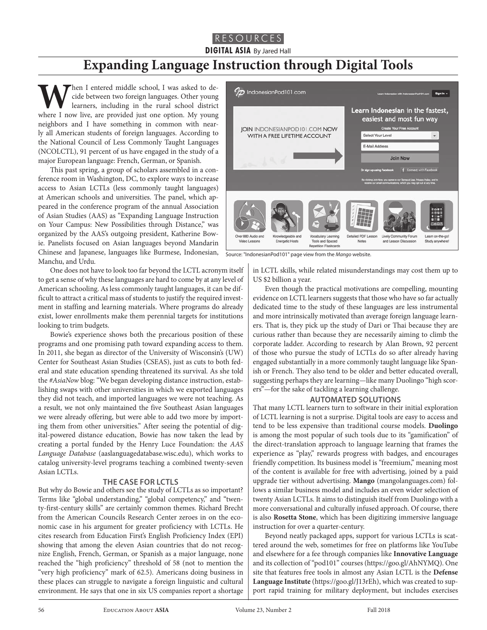## RESOURCES

**DIGITAL ASIA** By Jared Hall

# **Expanding Language Instruction through Digital Tools**

When I entered middle school, I was asked to decide between two foreign languages. Other young learners, including in the rural school district where I now live, are provided just one option. My young cide between two foreign languages. Other young learners, including in the rural school district neighbors and I have something in common with nearly all American students of foreign languages. According to the National Council of Less Commonly Taught Languages (NCOLCTL), 91 percent of us have engaged in the study of a major European language: French, German, or Spanish.

This past spring, a group of scholars assembled in a conference room in Washington, DC, to explore ways to increase access to Asian LCTLs (less commonly taught languages) at American schools and universities. The panel, which appeared in the conference program of the annual Association of Asian Studies (AAS) as "Expanding Language Instruction on Your Campus: New Possibilities through Distance," was organized by the AAS's outgoing president, Katherine Bowie. Panelists focused on Asian languages beyond Mandarin Chinese and Japanese, languages like Burmese, Indonesian, Manchu, and Urdu.

One does not have to look too far beyond the LCTL acronym itself to get a sense of why these languages are hard to come by at any level of American schooling. As less commonly taught languages, it can be difficult to attract a critical mass of students to justify the required investment in staffing and learning materials. Where programs do already exist, lower enrollments make them perennial targets for institutions looking to trim budgets.

Bowie's experience shows both the precarious position of these programs and one promising path toward expanding access to them. In 2011, she began as director of the University of Wisconsin's (UW) Center for Southeast Asian Studies (CSEAS), just as cuts to both federal and state education spending threatened its survival. As she told the *#AsiaNow* blog: "We began developing distance instruction, establishing swaps with other universities in which we exported languages they did not teach, and imported languages we were not teaching. As a result, we not only maintained the five Southeast Asian languages we were already offering, but were able to add two more by importing them from other universities." After seeing the potential of digital-powered distance education, Bowie has now taken the lead by creating a portal funded by the Henry Luce Foundation: the *AAS Language Database* (aaslanguagedatabase.wisc.edu), which works to catalog university-level programs teaching a combined twenty-seven Asian LCTLs.

#### **THE CASE FOR LCTLS**

But why do Bowie and others see the study of LCTLs as so important? Terms like "global understanding," "global competency," and "twenty-first-century skills" are certainly common themes. Richard Brecht from the American Councils Research Center zeroes in on the economic case in his argument for greater proficiency with LCTLs. He cites research from Education First's English Proficiency Index (EPI) showing that among the eleven Asian countries that do not recognize English, French, German, or Spanish as a major language, none reached the "high proficiency" threshold of 58 (not to mention the "very high proficiency" mark of 62.5). Americans doing business in these places can struggle to navigate a foreign linguistic and cultural environment. He says that one in six US companies report a shortage



Source: "IndonesianPod101" page view from the *Mango* website.

in LCTL skills, while related misunderstandings may cost them up to US \$2 billion a year.

Even though the practical motivations are compelling, mounting evidence on LCTL learners suggests that those who have so far actually dedicated time to the study of these languages are less instrumental and more intrinsically motivated than average foreign language learners. That is, they pick up the study of Dari or Thai because they are curious rather than because they are necessarily aiming to climb the corporate ladder. According to research by Alan Brown, 92 percent of those who pursue the study of LCTLs do so after already having engaged substantially in a more commonly taught language like Spanish or French. They also tend to be older and better educated overall, suggesting perhaps they are learning—like many Duolingo "high scorers"—for the sake of tackling a learning challenge.

#### **AUTOMATED SOLUTIONS**

That many LCTL learners turn to software in their initial exploration of LCTL learning is not a surprise. Digital tools are easy to access and tend to be less expensive than traditional course models. **Duolingo** is among the most popular of such tools due to its "gamification" of the direct-translation approach to language learning that frames the experience as "play," rewards progress with badges, and encourages friendly competition. Its business model is "freemium," meaning most of the content is available for free with advertising, joined by a paid upgrade tier without advertising. **Mango** (mangolanguages.com) follows a similar business model and includes an even wider selection of twenty Asian LCTLs. It aims to distinguish itself from Duolingo with a more conversational and culturally infused approach. Of course, there is also **Rosetta Stone**, which has been digitizing immersive language instruction for over a quarter-century.

Beyond neatly packaged apps, support for various LCTLs is scattered around the web, sometimes for free on platforms like YouTube and elsewhere for a fee through companies like **Innovative Language**  and its collection of "pod101" courses (https://goo.gl/AhNYMQ). One site that features free tools in almost any Asian LCTL is the **Defense Language Institute** (https://goo.gl/J13rEh), which was created to support rapid training for military deployment, but includes exercises